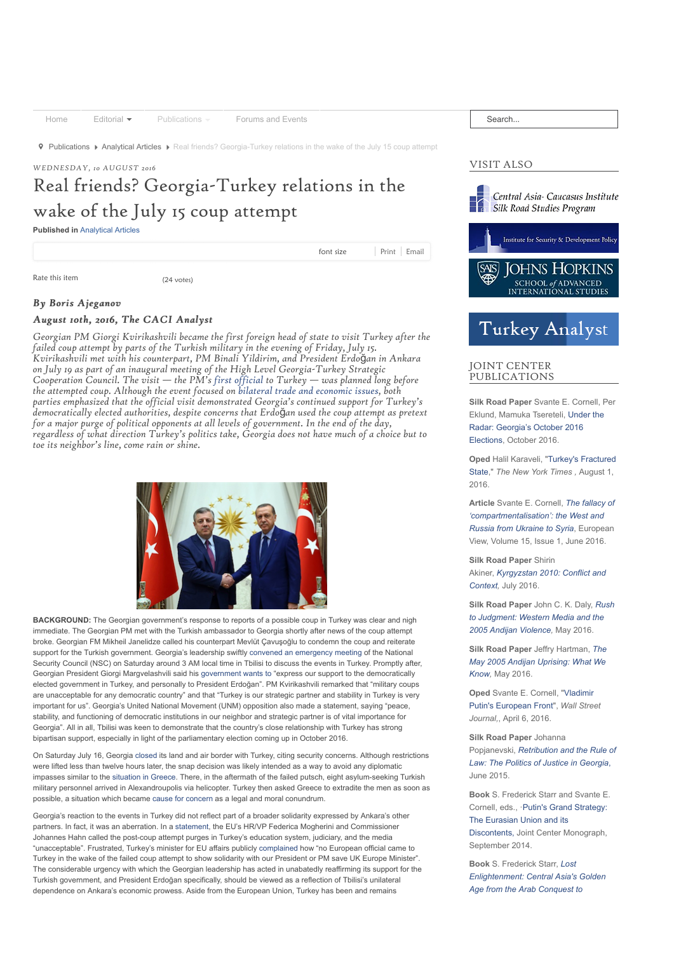[Home](https://cacianalyst.org/)  $\overline{F}$  [Editorial](https://cacianalyst.org/editorial.html)  $\overline{F}$  [Publications](https://cacianalyst.org/publications.html)  $\overline{F}$  [Forums and Events](http://www.silkroadstudies.org/forums-and-events.html)

**9** [Publications](https://cacianalyst.org/publications.html) ▶ [Analytical Articles](https://cacianalyst.org/publications/analytical-articles.html) ▶ Real friends? Georgia-Turkey relations in the wake of the July 15 coup attempt

# *WEDNESDAY, 10 AUGUST 2016*

# Real friends? Georgia-Turkey relations in the wake of the July 15 coup attempt

**Published in** [Analytical Articles](https://cacianalyst.org/publications/analytical-articles.html)

Rate this item (24 votes)

font size | [Print](https://cacianalyst.org/publications/analytical-articles/item/13388-real-friends?-georgia-turkey-relations-in-the-wake-of-the-july-15-coup-attempt.html?tmpl=component&print=1) | [Email](https://cacianalyst.org/component/mailto/?tmpl=component&template=caci&link=89982b49e2c9a3cc0f2e0083276770d479a030e9)

# *By Boris Ajeganov By Boris Ajeganov*

# *August 10th, 2016, The CACI Analyst August 2016, The CACI Analyst*

*Georgian PM Giorgi Kvirikashvili became the first foreign head of state to visit Turkey after the failed coup attempt by parts of the Turkish military in the evening of Friday, July 15. Kvirikashvili met with his counterpart, PM Binali Yildirim, and President Erdo*ğ*an in Ankara on July 19 as part of an inaugural meeting of the High Level Georgia-Turkey Strategic Cooperation Council. The visit — the PM's [first official](http://agenda.ge/news/62305/eng) to Turkey — was planned long before the attempted coup. Although the event focused on [bilateral trade and economic issues,](http://www.civil.ge/files/files/2016/AnkaraStatement-July19-2016.pdf) both parties emphasized that the official visit demonstrated Georgia's continued support for Turkey's democratically elected authorities, despite concerns that Erdo*ğ*an used the coup attempt as pretext for a major purge of political opponents at all levels of government. In the end of the day, regardless of what direction Turkey's politics take, Georgia does not have much of a choice but to toe its neighbor's line, come rain or shine.*



**BACKGROUND:** The Georgian government's response to reports of a possible coup in Turkey was clear and nigh immediate. The Georgian PM met with the Turkish ambassador to Georgia shortly after news of the coup attempt broke. Georgian FM Mikheil Janelidze called his counterpart Mevlüt Çavuşoğlu to condemn the coup and reiterate support for the Turkish government. Georgia's leadership swiftly [convened an emergency meeting](http://www.civil.ge/eng/article.php?id=29308) of the National Security Council (NSC) on Saturday around 3 AM local time in Tbilisi to discuss the events in Turkey. Promptly after, Georgian President Giorgi Margvelashvili said his [government wants to](http://www.civil.ge/eng/article.php?id=29310) "express our support to the democratically elected government in Turkey, and personally to President Erdoğan". PM Kvirikashvili remarked that "military coups are unacceptable for any democratic country" and that "Turkey is our strategic partner and stability in Turkey is very important for us". Georgia's United National Movement (UNM) opposition also made a statement, saying "peace, stability, and functioning of democratic institutions in our neighbor and strategic partner is of vital importance for Georgia". All in all, Tbilisi was keen to demonstrate that the country's close relationship with Turkey has strong bipartisan support, especially in light of the parliamentary election coming up in October 2016.

On Saturday July 16, Georgia [closed](http://www.civil.ge/eng/article.php?id=29314) its land and air border with Turkey, citing security concerns. Although restrictions were lifted less than twelve hours later, the snap decision was likely intended as a way to avoid any diplomatic impasses similar to the [situation in Greece](https://www.yahoo.com/news/turkish-helicopter-lands-greece-eight-request-asylum-103057761.html). There, in the aftermath of the failed putsch, eight asylum-seeking Turkish military personnel arrived in Alexandroupolis via helicopter. Turkey then asked Greece to extradite the men as soon as possible, a situation which became [cause for concern](https://www.euractiv.com/section/global-europe/news/greece-turkey-tensions-build-over-the-extradition-of-fugitives/) as a legal and moral conundrum.

Georgia's reaction to the events in Turkey did not reflect part of a broader solidarity expressed by Ankara's other partners. In fact, it was an aberration. In a [statement](http://eeas.europa.eu/statements-eeas/2016/160721_01_en.htm), the EU's HR/VP Federica Mogherini and Commissioner Johannes Hahn called the post-coup attempt purges in Turkey's education system, judiciary, and the media "unacceptable". Frustrated, Turkey's minister for EU affairs publicly [complained](https://twitter.com/omerrcelik/status/756842296407130112) how "no European official came to Turkey in the wake of the failed coup attempt to show solidarity with our President or PM save UK Europe Minister". The considerable urgency with which the Georgian leadership has acted in unabatedly reaffirming its support for the Turkish government, and President Erdoğan specifically, should be viewed as a reflection of Tbilisi's unilateral dependence on Ankara's economic prowess. Aside from the European Union, Turkey has been and remains

Search...

# VISIT ALSO



# **Turkey Analyst**

# JOINT CENTER PUBLICATIONS

**Silk Road Paper** Svante E. Cornell, Per [Eklund, Mamuka Tsereteli, Under the](https://silkroadstudies.org/publications/silkroad-papers-and-monographs/item/13221-under-the-radar-georgia%E2%80%99s-october-2016-elections.html) Radar: Georgia's October 2016 Elections, October 2016.

**Oped** [Halil Karaveli, "Turkey's Fractured](http://silkroadstudies.org/publications/joint-center-publications/item/13213-turkeys-fractured-state.html) State," *The New York Times ,* August 1, 2016.

**Article** Svante E. Cornell, *The fallacy of ['compartmentalisation': the West and](http://link.springer.com/article/10.1007/s12290-016-0400-z#enumeration) Russia from Ukraine to Syria*, European View, Volume 15, Issue 1, June 2016.

**Silk Road Paper** Shirin Akiner, *[Kyrgyzstan 2010: Conflict and](http://silkroadstudies.org/publications/silkroad-papers-and-monographs/item/13207-kyrgyzstan-2010-conflict-and-context.html) Context,* July 2016.

**Silk Road Paper** John C. K. Daly, *Rush [to Judgment: Western Media and the](http://silkroadstudies.org/publications/silkroad-papers-and-monographs/item/13205-rush-to-judgment-western-media-and-the-2005-andijan-violence.html) 2005 Andijan Violence,* May 2016.

**Silk Road Paper** Jeffry Hartman, *The [May 2005 Andijan Uprising: What We](http://silkroadstudies.org/publications/silkroad-papers-and-monographs/item/13204-the-may-2005-andijan-uprising-what-we-know.html) Know,* May 2016.

**Oped** [Svante E. Cornell, "Vladimir](http://www.wsj.com/articles/vladimir-putins-next-european-front-1459965435) Putin's European Front", *Wall Street Journal,*, April 6, 2016.

**Silk Road Paper** Johanna Popjanevski, *Retribution and the Rule of [Law: The Politics of Justice in Georgia](http://silkroadstudies.org/publications/silkroad-papers-and-monographs/item/13155-retribution-and-the-rule-of-law-the-politics-of-justice-in-georgia.html)*, June 2015.

**Book** S. Frederick Starr and Svante E. Cornell, eds., ·Putin's Grand Strategy: The Eurasian Union and its [Discontents, Joint Center Monograph,](http://www.silkroadstudies.org/publications/silkroad-papers-and-monographs/item/13053-putins-grand-strategy-the-eurasian-union-and-its-discontents.html) September 2014.

**Book** S. Frederick Starr, *Lost [Enlightenment: Central Asia's Golden](http://press.princeton.edu/titles/10064.html) Age from the Arab Conquest to*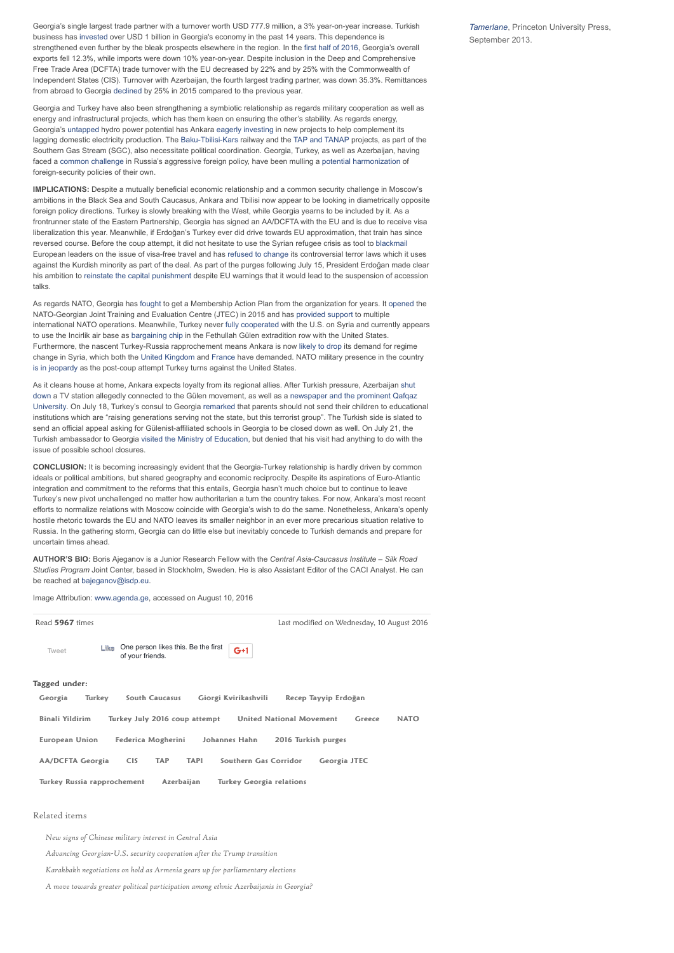Georgia's single largest trade partner with a turnover worth USD 777.9 million, a 3% year-on-year increase. Turkish business has [invested](http://www.commersant.ge/index.php?m=5&news_id=39623&cat_id=5) over USD 1 billion in Georgia's economy in the past 14 years. This dependence is strengthened even further by the bleak prospects elsewhere in the region. In the [first half of 2016,](http://www.civil.ge/eng/article.php?id=29321) Georgia's overall exports fell 12.3%, while imports were down 10% year-on-year. Despite inclusion in the Deep and Comprehensive Free Trade Area (DCFTA) trade turnover with the EU decreased by 22% and by 25% with the Commonwealth of Independent States (CIS). Turnover with Azerbaijan, the fourth largest trading partner, was down 35.3%. Remittances from abroad to Georgia [declined](http://www.civil.ge/eng/article.php?id=29323) by 25% in 2015 compared to the previous year.

Georgia and Turkey have also been strengthening a symbiotic relationship as regards military cooperation as well as energy and infrastructural projects, which has them keen on ensuring the other's stability. As regards energy, Georgia's [untapped](http://www.investingeorgia.org/en/keysectors/energy) hydro power potential has Ankara [eagerly investing](http://agenda.ge/news/62410/eng) in new projects to help complement its lagging domestic electricity production. The [Baku-Tbilisi-Kars](http://agenda.ge/news/52315/eng) railway and the [TAP and TANAP](http://www.dailysabah.com/politics/2016/05/18/energy-minister-underlines-importance-of-tap-tanap) projects, as part of the Southern Gas Stream (SGC), also necessitate political coordination. Georgia, Turkey, as well as Azerbaijan, having faced a [common challenge](http://blogs.timesofisrael.com/why-does-azerbaijan-turkey-and-georgia-strengthen-military-cooperation/) in Russia's aggressive foreign policy, have been mulling a [potential harmonization](http://www.kas.de/wf/doc/kas_43884-1522-1-30.pdf?160111112351) of foreign-security policies of their own.

**IMPLICATIONS:** Despite a mutually beneficial economic relationship and a common security challenge in Moscow's ambitions in the Black Sea and South Caucasus, Ankara and Tbilisi now appear to be looking in diametrically opposite foreign policy directions. Turkey is slowly breaking with the West, while Georgia yearns to be included by it. As a frontrunner state of the Eastern Partnership, Georgia has signed an AA/DCFTA with the EU and is due to receive visa liberalization this year. Meanwhile, if Erdoğan's Turkey ever did drive towards EU approximation, that train has since reversed course. Before the coup attempt, it did not hesitate to use the Syrian refugee crisis as tool to [blackmail](http://www.gatestoneinstitute.org/7914/turkey-visa-free-travel) European leaders on the issue of visa-free travel and has [refused to change](https://www.theguardian.com/world/2016/may/06/erdogan-turkey-not-alter-anti-terror-laws-visa-free-travel-eu) its controversial terror laws which it uses against the Kurdish minority as part of the deal. As part of the purges following July 15, President Erdoğan made clear his ambition to [reinstate the capital punishment](http://www.bbc.com/news/world-europe-36832071) despite EU warnings that it would lead to the suspension of accession talks.

As regards NATO, Georgia has [fought](http://www.rferl.org/content/caucasus-report-georgia-nato/25232112.html) to get a Membership Action Plan from the organization for years. It [opened](http://www.nato.int/nato_static_fl2014/assets/pdf/pdf_topics/20150827_150827-jtec-georgia.pdf) the NATO-Georgian Joint Training and Evaluation Centre (JTEC) in 2015 and has [provided support](http://www.nato.int/cps/en/natolive/topics_38988.htm) to multiple international NATO operations. Meanwhile, Turkey never [fully cooperated](http://www.wsj.com/articles/u-s-compromises-won-turkeys-backing-for-kurdish-led-offensive-1468539313) with the U.S. on Syria and currently appears to use the Incirlik air base as [bargaining chip](http://www.nytimes.com/roomfordebate/2016/07/19/the-fallout-from-the-coup-in-turkey/the-fight-against-isis-will-suffer-because-of-turkeys-coup) in the Fethullah Gülen extradition row with the United States. Furthermore, the nascent Turkey-Russia rapprochement means Ankara is now [likely to drop](http://www.economist.com/news/europe/21702311-president-erdogans-attitudes-israel-russia-and-syria-have-undergone-sudden-reset-turkey) its demand for regime change in Syria, which both the [United Kingdom](https://www.theguardian.com/world/2016/jul/19/boris-johnson-bashar-al-assad-must-go-if-syrians-suffering-to-end) and [France](http://www.nytimes.com/2015/09/29/world/europe/france-francois-hollande-united-nations-general-assembly.html?_r=0) have demanded. NATO military presence in the country [is in jeopardy](http://www.economist.com/news/europe/21702337-turkish-media-and-even-government-officials-accuse-america-being-plot-after) as the post-coup attempt Turkey turns against the United States.

As it cleans house at home, Ankara expects loyalty from its regional allies. After Turkish pressure, Azerbaijan shut [down a TV station allegedly connected to the Gülen movement, as well as a newspaper and the prominent Qafqaz](http://www.eurasianet.org/node/79751) [University. On July 18, Turkey's consul to Georgia remarked that parents should not send their children to educatio](http://www.eurasianet.org/node/79781)nal institutions which are "raising generations serving not the state, but this terrorist group". The Turkish side is slated to send an official appeal asking for Gülenist-affiliated schools in Georgia to be closed down as well. On July 21, the Turkish ambassador to Georgia [visited the Ministry of Education](http://www.interpressnews.ge/ge/sazogadoeba/389511-thurqethis-elchma-saqarthvelos-ganathlebis-saministro-ukomentarod-datova.html?ar=A), but denied that his visit had anything to do with the issue of possible school closures.

**CONCLUSION:** It is becoming increasingly evident that the Georgia-Turkey relationship is hardly driven by common ideals or political ambitions, but shared geography and economic reciprocity. Despite its aspirations of Euro-Atlantic integration and commitment to the reforms that this entails, Georgia hasn't much choice but to continue to leave Turkey's new pivot unchallenged no matter how authoritarian a turn the country takes. For now, Ankara's most recent efforts to normalize relations with Moscow coincide with Georgia's wish to do the same. Nonetheless, Ankara's openly hostile rhetoric towards the EU and NATO leaves its smaller neighbor in an ever more precarious situation relative to Russia. In the gathering storm, Georgia can do little else but inevitably concede to Turkish demands and prepare for uncertain times ahead.

**AUTHOR'S BIO:** Boris Ajeganov is a Junior Research Fellow with the *Central Asia-Caucasus Institute – Silk Road Studies Program* Joint Center, based in Stockholm, Sweden. He is also Assistant Editor of the CACI Analyst. He can be reached at [bajeganov@isdp.eu.](mailto:bajeganov@isdp.eu)

Image Attribution: [www.agenda.ge,](http://www.agenda.ge/) accessed on August 10, 2016

| Read 5967 times                                                                     |                                                                          | Last modified on Wednesday, 10 August 2016               |
|-------------------------------------------------------------------------------------|--------------------------------------------------------------------------|----------------------------------------------------------|
| Tweet                                                                               | One person likes this. Be the first<br>Like<br>$G+1$<br>of your friends. |                                                          |
| Tagged under:                                                                       |                                                                          |                                                          |
| Georgia                                                                             | Turkey<br>South Caucasus<br>Giorgi Kvirikashvili                         | Recep Tayyip Erdoğan                                     |
| Binali Yildirim                                                                     | Turkey July 2016 coup attempt                                            | <b>United National Movement</b><br><b>NATO</b><br>Greece |
| <b>European Union</b><br>Federica Mogherini<br>Johannes Hahn<br>2016 Turkish purges |                                                                          |                                                          |
| <b>AA/DCFTA Georgia</b>                                                             | <b>CIS</b><br><b>TAP</b><br><b>TAPI</b>                                  | Southern Gas Corridor<br>Georgia JTEC                    |
| Turkey Russia rapprochement<br>Azerbaijan<br><b>Turkey Georgia relations</b>        |                                                                          |                                                          |

### Related items

*[New signs of Chinese military interest in Central Asia](https://cacianalyst.org/publications/analytical-articles/item/13421-new-signs-of-chinese-military-interest-in-central-asia.html)*

*[Advancing Georgian-U.S. security cooperation after the Trump transition](https://cacianalyst.org/publications/analytical-articles/item/13422-advancing-georgian-us-security-cooperation-after-the-trump-transition.html)*

*[Karakbakh negotiations on hold as Armenia gears up for parliamentary elections](https://cacianalyst.org/publications/analytical-articles/item/13419-karakbakh-negotiations-on-hold-as-armenia-gears-up-for-parliamentary-elections.html)*

*[A move towards greater political participation among ethnic Azerbaijanis in Georgia?](https://cacianalyst.org/publications/analytical-articles/item/13417-a-move-towards-greater-political-participation-among-ethnic-azerbaijanis-in-georgia?.html)*

*Tamerlane*[, Princeton University Press](http://press.princeton.edu/titles/10064.html), September 2013.